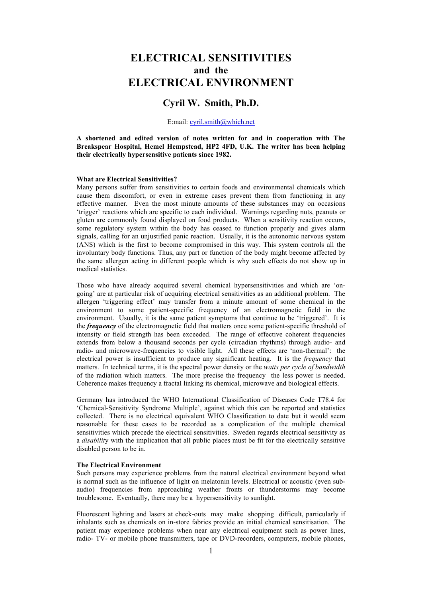# **ELECTRICAL SENSITIVITIES and the ELECTRICAL ENVIRONMENT**

# **Cyril W. Smith, Ph.D.**

# E:mail: cyril.smith@which.net

**A shortened and edited version of notes written for and in cooperation with The Breakspear Hospital, Hemel Hempstead, HP2 4FD, U.K. The writer has been helping their electrically hypersensitive patients since 1982.**

#### **What are Electrical Sensitivities?**

Many persons suffer from sensitivities to certain foods and environmental chemicals which cause them discomfort, or even in extreme cases prevent them from functioning in any effective manner. Even the most minute amounts of these substances may on occasions 'trigger' reactions which are specific to each individual. Warnings regarding nuts, peanuts or gluten are commonly found displayed on food products. When a sensitivity reaction occurs, some regulatory system within the body has ceased to function properly and gives alarm signals, calling for an unjustified panic reaction. Usually, it is the autonomic nervous system (ANS) which is the first to become compromised in this way. This system controls all the involuntary body functions. Thus, any part or function of the body might become affected by the same allergen acting in different people which is why such effects do not show up in medical statistics.

Those who have already acquired several chemical hypersensitivities and which are 'ongoing' are at particular risk of acquiring electrical sensitivities as an additional problem. The allergen 'triggering effect' may transfer from a minute amount of some chemical in the environment to some patient-specific frequency of an electromagnetic field in the environment. Usually, it is the same patient symptoms that continue to be 'triggered'. It is the *frequency* of the electromagnetic field that matters once some patient-specific threshold of intensity or field strength has been exceeded. The range of effective coherent frequencies extends from below a thousand seconds per cycle (circadian rhythms) through audio- and radio- and microwave-frequencies to visible light. All these effects are 'non-thermal': the electrical power is insufficient to produce any significant heating. It is the *frequency* that matters. In technical terms, it is the spectral power density or the *watts per cycle of bandwidth* of the radiation which matters. The more precise the frequency the less power is needed. Coherence makes frequency a fractal linking its chemical, microwave and biological effects.

Germany has introduced the WHO International Classification of Diseases Code T78.4 for 'Chemical-Sensitivity Syndrome Multiple', against which this can be reported and statistics collected. There is no electrical equivalent WHO Classification to date but it would seem reasonable for these cases to be recorded as a complication of the multiple chemical sensitivities which precede the electrical sensitivities. Sweden regards electrical sensitivity as a *disabilit*y with the implication that all public places must be fit for the electrically sensitive disabled person to be in.

# **The Electrical Environment**

Such persons may experience problems from the natural electrical environment beyond what is normal such as the influence of light on melatonin levels. Electrical or acoustic (even subaudio) frequencies from approaching weather fronts or thunderstorms may become troublesome. Eventually, there may be a hypersensitivity to sunlight.

Fluorescent lighting and lasers at check-outs may make shopping difficult, particularly if inhalants such as chemicals on in-store fabrics provide an initial chemical sensitisation. The patient may experience problems when near any electrical equipment such as power lines, radio- TV- or mobile phone transmitters, tape or DVD-recorders, computers, mobile phones,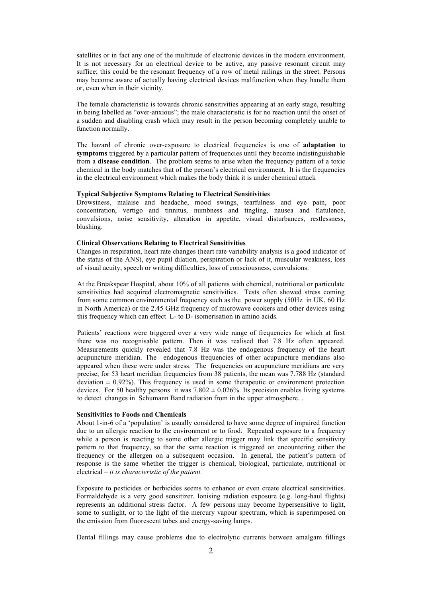satellites or in fact any one of the multitude of electronic devices in the modern environment. It is not necessary for an electrical device to be active, any passive resonant circuit may suffice; this could be the resonant frequency of a row of metal railings in the street. Persons may become aware of actually having electrical devices malfunction when they handle them or, even when in their vicinity.

The female characteristic is towards chronic sensitivities appearing at an early stage, resulting in being labelled as "over-anxious"; the male characteristic is for no reaction until the onset of a sudden and disabling crash which may result in the person becoming completely unable to function normally.

The hazard of chronic over-exposure to electrical frequencies is one of **adaptation** to **symptoms** triggered by a particular pattern of frequencies until they become indistinguishable from a **disease condition**. The problem seems to arise when the frequency pattern of a toxic chemical in the body matches that of the person's electrical environment. It is the frequencies in the electrical environment which makes the body think it is under chemical attack

# **Typical Subjective Symptoms Relating to Electrical Sensitivities**

Drowsiness, malaise and headache, mood swings, tearfulness and eye pain, poor concentration, vertigo and tinnitus, numbness and tingling, nausea and flatulence, convulsions, noise sensitivity, alteration in appetite, visual disturbances, restlessness, blushing.

#### **Clinical Observations Relating to Electrical Sensitivities**

Changes in respiration, heart rate changes (heart rate variability analysis is a good indicator of the status of the ANS), eye pupil dilation, perspiration or lack of it, muscular weakness, loss of visual acuity, speech or writing difficulties, loss of consciousness, convulsions.

At the Breakspear Hospital, about 10% of all patients with chemical, nutritional or particulate sensitivities had acquired electromagnetic sensitivities. Tests often showed stress coming from some common environmental frequency such as the power supply (50Hz in UK, 60 Hz in North America) or the 2.45 GHz frequency of microwave cookers and other devices using this frequency which can effect L- to D- isomerisation in amino acids.

Patients' reactions were triggered over a very wide range of frequencies for which at first there was no recognisable pattern. Then it was realised that 7.8 Hz often appeared. Measurements quickly revealed that 7.8 Hz was the endogenous frequency of the heart acupuncture meridian. The endogenous frequencies of other acupuncture meridians also appeared when these were under stress. The frequencies on acupuncture meridians are very precise; for 53 heart meridian frequencies from 38 patients, the mean was 7.788 Hz (standard deviation  $\pm$  0.92%). This frequency is used in some therapeutic or environment protection devices. For 50 healthy persons it was  $7.802 \pm 0.026\%$ . Its precision enables living systems to detect changes in Schumann Band radiation from in the upper atmosphere. .

### **Sensitivities to Foods and Chemicals**

About 1-in-6 of a 'population' is usually considered to have some degree of impaired function due to an allergic reaction to the environment or to food. Repeated exposure to a frequency while a person is reacting to some other allergic trigger may link that specific sensitivity pattern to that frequency, so that the same reaction is triggered on encountering either the frequency or the allergen on a subsequent occasion. In general, the patient's pattern of response is the same whether the trigger is chemical, biological, particulate, nutritional or electrical – *it is characteristic of the patient.*

Exposure to pesticides or herbicides seems to enhance or even create electrical sensitivities. Formaldehyde is a very good sensitizer. Ionising radiation exposure (e.g. long-haul flights) represents an additional stress factor. A few persons may become hypersensitive to light, some to sunlight, or to the light of the mercury vapour spectrum, which is superimposed on the emission from fluorescent tubes and energy-saving lamps.

Dental fillings may cause problems due to electrolytic currents between amalgam fillings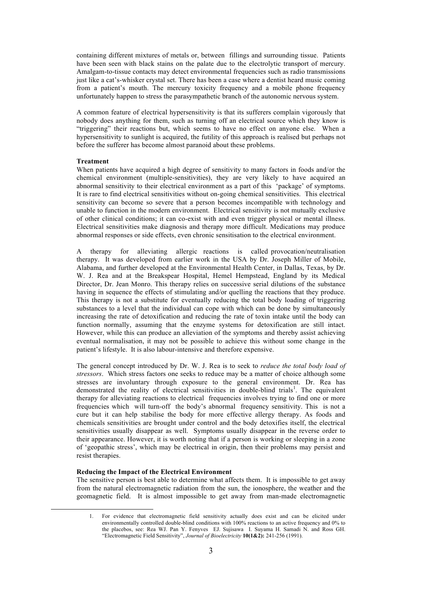containing different mixtures of metals or, between fillings and surrounding tissue. Patients have been seen with black stains on the palate due to the electrolytic transport of mercury. Amalgam-to-tissue contacts may detect environmental frequencies such as radio transmissions just like a cat's-whisker crystal set. There has been a case where a dentist heard music coming from a patient's mouth. The mercury toxicity frequency and a mobile phone frequency unfortunately happen to stress the parasympathetic branch of the autonomic nervous system.

A common feature of electrical hypersensitivity is that its sufferers complain vigorously that nobody does anything for them, such as turning off an electrical source which they know is "triggering" their reactions but, which seems to have no effect on anyone else. When a hypersensitivity to sunlight is acquired, the futility of this approach is realised but perhaps not before the sufferer has become almost paranoid about these problems.

#### **Treatment**

When patients have acquired a high degree of sensitivity to many factors in foods and/or the chemical environment (multiple-sensitivities), they are very likely to have acquired an abnormal sensitivity to their electrical environment as a part of this 'package' of symptoms. It is rare to find electrical sensitivities without on-going chemical sensitivities. This electrical sensitivity can become so severe that a person becomes incompatible with technology and unable to function in the modern environment. Electrical sensitivity is not mutually exclusive of other clinical conditions; it can co-exist with and even trigger physical or mental illness. Electrical sensitivities make diagnosis and therapy more difficult. Medications may produce abnormal responses or side effects, even chronic sensitisation to the electrical environment.

A therapy for alleviating allergic reactions is called provocation/neutralisation therapy. It was developed from earlier work in the USA by Dr. Joseph Miller of Mobile, Alabama, and further developed at the Environmental Health Center, in Dallas, Texas, by Dr. W. J. Rea and at the Breakspear Hospital, Hemel Hempstead, England by its Medical Director, Dr. Jean Monro. This therapy relies on successive serial dilutions of the substance having in sequence the effects of stimulating and/or quelling the reactions that they produce. This therapy is not a substitute for eventually reducing the total body loading of triggering substances to a level that the individual can cope with which can be done by simultaneously increasing the rate of detoxification and reducing the rate of toxin intake until the body can function normally, assuming that the enzyme systems for detoxification are still intact. However, while this can produce an alleviation of the symptoms and thereby assist achieving eventual normalisation, it may not be possible to achieve this without some change in the patient's lifestyle. It is also labour-intensive and therefore expensive.

The general concept introduced by Dr. W. J. Rea is to seek to *reduce the total body load of stressors*. Which stress factors one seeks to reduce may be a matter of choice although some stresses are involuntary through exposure to the general environment. Dr. Rea has demonstrated the reality of electrical sensitivities in double-blind trials<sup>1</sup>. The equivalent therapy for alleviating reactions to electrical frequencies involves trying to find one or more frequencies which will turn-off the body's abnormal frequency sensitivity. This is not a cure but it can help stabilise the body for more effective allergy therapy. As foods and chemicals sensitivities are brought under control and the body detoxifies itself, the electrical sensitivities usually disappear as well. Symptoms usually disappear in the reverse order to their appearance. However, it is worth noting that if a person is working or sleeping in a zone of 'geopathic stress', which may be electrical in origin, then their problems may persist and resist therapies.

#### **Reducing the Impact of the Electrical Environment**

The sensitive person is best able to determine what affects them. It is impossible to get away from the natural electromagnetic radiation from the sun, the ionosphere, the weather and the geomagnetic field. It is almost impossible to get away from man-made electromagnetic

 <sup>1.</sup> For evidence that electromagnetic field sensitivity actually does exist and can be elicited under environmentally controlled double-blind conditions with 100% reactions to an active frequency and 0% to the placebos, see: Rea WJ. Pan Y. Fenyves EJ. Sujisawa I. Suyama H. Samadi N. and Ross GH. "Electromagnetic Field Sensitivity", *Journal of Bioelectricity* **10(1&2):** 241-256 (1991).